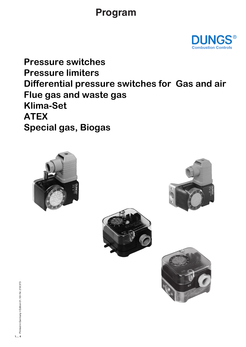# **Program**



**Pressure switches Pressure limiters Differential pressure switches for Gas and air Flue gas and waste gas Klima-Set ATEX Special gas, Biogas**







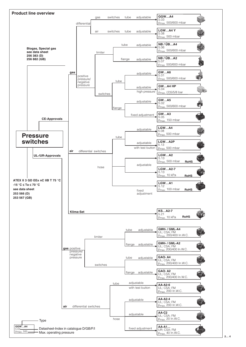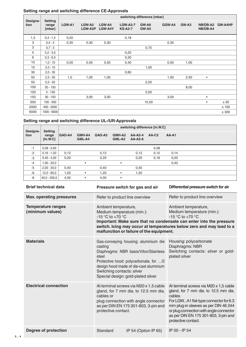### **Setting range and switching difference CE-Approvals**

| Designa-<br>tion | <b>Setting</b><br>range<br>[mbar] | switching difference [mbar] |                   |                   |                                   |                |        |       |                      |            |
|------------------|-----------------------------------|-----------------------------|-------------------|-------------------|-----------------------------------|----------------|--------|-------|----------------------|------------|
|                  |                                   | LGW-A1                      | LGW-A2<br>LGW-A2P | LGW-A4<br>LGW-A4Y | <b>LGW-A2-7</b><br><b>KS-A2-7</b> | GW-A6<br>GW-A5 | GGW-A4 | GW-A3 | NB/ÜB-A2<br>NB/ÜB-A4 | GW-A4HP    |
| 1,5              | $0,3 - 1,5$                       | 0,20                        |                   |                   | 0,18                              |                |        |       |                      |            |
| 3                | $0,4 - 3$                         | 0,35                        | 0,30              | 0,30              |                                   |                | 0,30   |       |                      |            |
| 3                | $0,7 - 3$                         |                             |                   |                   |                                   | 0,70           |        |       |                      |            |
| 5                | $0,2 - 3,0$                       |                             |                   |                   | 0,20                              |                |        |       |                      |            |
| 6                | $0,3 - 6,0$                       |                             |                   |                   | 0,30                              |                |        |       |                      |            |
| 10               | $1,0 - 10$                        | 0,50                        | 0,50              | 0,50              | 0,40                              |                | 0,50   | 1,00  |                      |            |
| 10               | $2,0 - 10$                        |                             |                   |                   |                                   | 1,00           |        |       |                      |            |
| 30               | $2,0 - 30$                        |                             |                   |                   | 0,80                              |                |        |       |                      |            |
| 50               | $2,5 - 50$                        | 1,0                         | 1,00              | 1,00              |                                   |                | 1,00   | 2,50  | $\bullet$            |            |
| 50               | $5,0 - 50$                        |                             |                   |                   |                                   | 2,50           |        |       |                      |            |
| 100              | $20 - 100$                        |                             |                   |                   |                                   |                |        | 8,00  |                      |            |
| 150              | $5 - 150$                         |                             |                   |                   |                                   | 5,00           |        |       |                      |            |
| 150              | $30 - 150$                        |                             | 3,00              | 3,00              |                                   |                | 3,00   |       | $\bullet$            |            |
| 500              | $100 - 500$                       |                             |                   |                   |                                   | 15,00          |        |       | $\bullet$            | $\leq 30$  |
| 2000             | $400 - 2000$                      |                             |                   |                   |                                   |                |        |       |                      | $\leq 100$ |
| 6000             | 1000 - 6000                       |                             |                   |                   |                                   |                |        |       |                      | $\leq 300$ |

# **Setting range and switching difference UL-/UR-Approvals**

| Designa-<br>tion | <b>Setting</b><br>range<br>[In.W.C] | switching difference [In.W.C] |                  |        |                  |                      |         |       |  |  |
|------------------|-------------------------------------|-------------------------------|------------------|--------|------------------|----------------------|---------|-------|--|--|
|                  |                                     | GAO-A4                        | GMH-A4<br>GML-A4 | GAO-A2 | GMH-A2<br>GML-A2 | $AA-A2-4$<br>AA-A2-6 | $AA-C2$ | AA-A1 |  |  |
| -1               | $0.08 - 0.60$                       |                               |                  |        |                  |                      | 0,08    |       |  |  |
| $-2$             | $0,16 - 1,20$                       | 0,12                          |                  | 0,12   |                  | 0,12                 | 0,12    | 0,14  |  |  |
| -3               | $0.40 - 4.00$                       | 0,20                          |                  | 0,20   |                  | 0,20                 | 0,16    | 0,20  |  |  |
| $-4$             | $1,00 - 20,0$                       |                               | $\bullet$        |        | ٠                |                      |         | 0,40  |  |  |
| $-5$             | $2,00 - 20,0$                       | 0,40                          |                  | 0,40   |                  | 0,40                 |         |       |  |  |
| -6               | $12.0 - 60.0$                       | 1,20                          | $\bullet$        | 1,20   | $\bullet$        | 1,20                 |         |       |  |  |
| -8               | $40.0 - 200.0$                      | 4,00                          | $\bullet$        | 4,00   | $\bullet$        |                      |         |       |  |  |

| <b>Brief technical data</b>                   |                                                                                                                                                                                                    | Pressure switch for gas and air                                                                                                                                                                         | Differential pressure switch for air                                                                                                                                                                                                                                                |  |  |  |
|-----------------------------------------------|----------------------------------------------------------------------------------------------------------------------------------------------------------------------------------------------------|---------------------------------------------------------------------------------------------------------------------------------------------------------------------------------------------------------|-------------------------------------------------------------------------------------------------------------------------------------------------------------------------------------------------------------------------------------------------------------------------------------|--|--|--|
| <b>Max. operating pressures</b>               | Refer to product line overview                                                                                                                                                                     |                                                                                                                                                                                                         | Refer to product line overview                                                                                                                                                                                                                                                      |  |  |  |
| <b>Temperature ranges</b><br>(minimum values) | Ambient temperature,<br>Medium temperature (min.):<br>$-15$ °C to $+70$ °C                                                                                                                         | malfunction or failure of the equipment.                                                                                                                                                                | Ambient temperature,<br>Medium temperature (min.):<br>-15 °C to +70 °C<br>Important: Make sure that no condensate can enter into the pressure<br>switch. Icing may occur at temperatures below zero and may lead to a                                                               |  |  |  |
| <b>Materials</b>                              | casting<br>steel<br>Switching contacts: silver                                                                                                                                                     | Gas-conveying housing: aluminium die<br>Diaphragms: NBR basis/Viton/Stainless<br>Protective hood: polycarbonate, for /2<br>design hood made of die-cast aluminium<br>Special design: gold-plated silver | Housing: polycarbonate<br>Diaphragms: NBR<br>Switching contacts: silver or gold-<br>plated silver                                                                                                                                                                                   |  |  |  |
| <b>Electrical connection</b>                  | At terminal screws via M20 x 1,5 cable<br>gland, for 7 mm dia. to 12.5 mm dia.<br>cables or<br>plug connection with angle connector<br>as per DIN EN 175 301-803, 3-pin and<br>protective contact. |                                                                                                                                                                                                         | At terminal screws via M20 x 1,5 cable<br>gland, for 7 mm dia. to 12.5 mm dia.<br>cables<br>For LGWA1 flat-type connector for 6.3<br>mm plug-in sleeves as per DIN 46 244<br>or plug connection with angle connector<br>as per DIN EN 175 301-803, 3-pin and<br>protective contact. |  |  |  |
| <b>Degree of protection</b>                   | Standard                                                                                                                                                                                           | IP 54 (Option IP 65)                                                                                                                                                                                    | IP 00 - IP 54                                                                                                                                                                                                                                                                       |  |  |  |